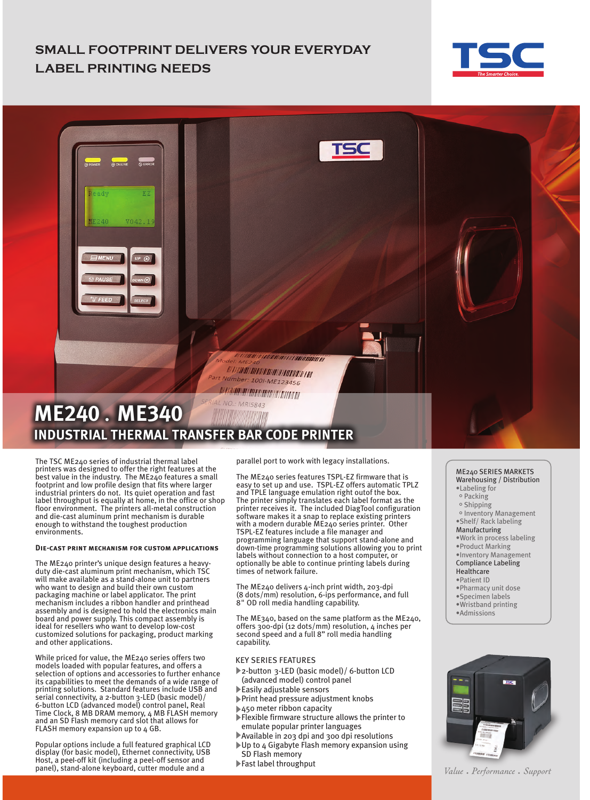## **SMALL FOOTPRINT DELIVERS YOUR EVERYDAY LABEL PRINTING NEEDS**





The TSC ME240 series of industrial thermal label printers was designed to offer the right features at the best value in the industry. The ME240 features a small footprint and low profile design that fits where larger industrial printers do not. Its quiet operation and fast label throughput is equally at home, in the office or shop floor environment. The printers all-metal construction and die-cast aluminum print mechanism is durable enough to withstand the toughest production environments.

#### **Die-cast print mechanism for custom applications**

The ME240 printer's unique design features a heavyduty die-cast aluminum print mechanism, which TSC will make available as a stand-alone unit to partners who want to design and build their own custom packaging machine or label applicator. The print mechanism includes a ribbon handler and printhead assembly and is designed to hold the electronics main board and power supply. This compact assembly is ideal for resellers who want to develop low-cost customized solutions for packaging, product marking and other applications.

While priced for value, the ME240 series offers two models loaded with popular features, and offers a selection of options and accessories to further enhance its capabilities to meet the demands of a wide range of printing solutions. Standard features include USB and serial connectivity, a 2-button 3-LED (basic model)/ 6-button LCD (advanced model) control panel, Real Time Clock, 8 MB DRAM memory, 4 MB FLASH memory and an SD Flash memory card slot that allows for FLASH memory expansion up to 4 GB.

Popular options include a full featured graphical LCD display (for basic model), Ethernet connectivity, USB Host, a peel-off kit (including a peel-off sensor and panel), stand-alone keyboard, cutter module and a

parallel port to work with legacy installations.

The ME240 series features TSPL-EZ firmware that is easy to set up and use. TSPL-EZ offers automatic TPLZ and TPLE language emulation right outof the box. The printer simply translates each label format as the printer receives it. The included DiagTool configuration software makes it a snap to replace existing printers with a modern durable ME240 series printer. Other TSPL-EZ features include a file manager and programming language that support stand-alone and down-time programming solutions allowing you to print labels without connection to a host computer, or optionally be able to continue printing labels during times of network failure.

The ME240 delivers 4-inch print width, 203-dpi (8 dots/mm) resolution, 6-ips performance, and full 8" OD roll media handling capability.

The ME340, based on the same platform as the ME240, offers 300-dpi (12 dots/mm) resolution, 4 inches per second speed and a full 8" roll media handling capability.

#### KEY SERIES FEATURES

- 2-button 3-LED (basic model)/ 6-button LCD (advanced model) control panel
- Easily adjustable sensors
- Print head pressure adjustment knobs
- ▶450 meter ribbon capacity
- Flexible firmware structure allows the printer to
- emulate popular printer languages
- Available in 203 dpi and 300 dpi resolutions Up to 4 Gigabyte Flash memory expansion using
- SD Flash memory
- Fast label throughput

#### ME240 SERIES MARKETS Warehousing / Distribution

- •Labeling for
- $\circ$  Packing
- $\circ$  Shipping
- o Inventory Management
- •Shelf/ Rack labeling
- Manufacturing
- •Work in process labeling •Product Marking
- •Inventory Management
- Compliance Labeling
- Healthcare
- •Patient ID
- •Pharmacy unit dose
- •Specimen labels
- •Wristband printing
- •Admissions



Value • Performance • Support